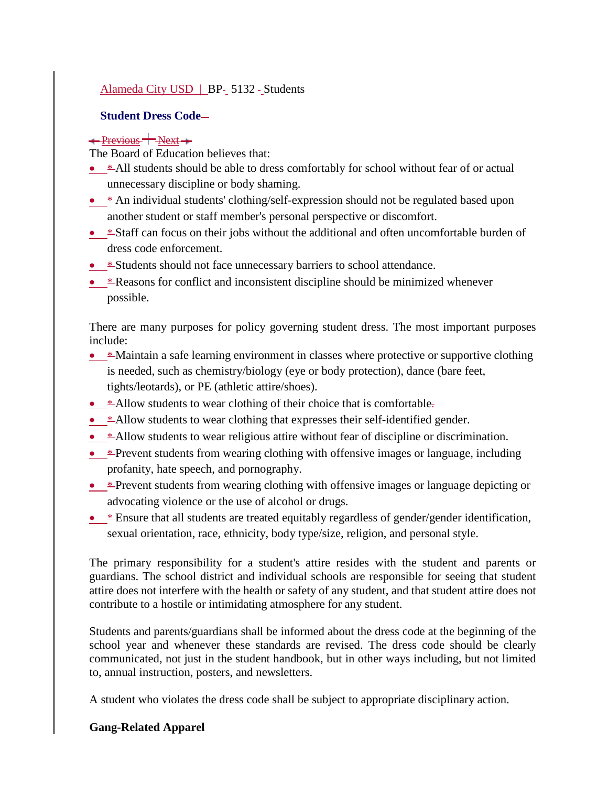# [Alameda City USD](http://www.gamutonline.net/district/alameda/) | BP- 5132 - Students

#### **Student Dress Code-**

#### $\leftarrow$  Previous  $\leftarrow$  Next  $\leftarrow$

The Board of Education believes that:

- \*All students should be able to dress comfortably for school without fear of or actual unnecessary discipline or body shaming.
- \* An individual students' clothing/self-expression should not be regulated based upon another student or staff member's personal perspective or discomfort.
- \*Staff can focus on their jobs without the additional and often uncomfortable burden of dress code enforcement.
- **\*Students should not face unnecessary barriers to school attendance.**
- \* Reasons for conflict and inconsistent discipline should be minimized whenever possible.

There are many purposes for policy governing student dress. The most important purposes include:

- $*$  Maintain a safe learning environment in classes where protective or supportive clothing is needed, such as chemistry/biology (eye or body protection), dance (bare feet, tights/leotards), or PE (athletic attire/shoes).
- $*$  Allow students to wear clothing of their choice that is comfortable.
- \* Allow students to wear clothing that expresses their self-identified gender.
- \*Allow students to wear religious attire without fear of discipline or discrimination.
- \* Prevent students from wearing clothing with offensive images or language, including profanity, hate speech, and pornography.
- **\*** Prevent students from wearing clothing with offensive images or language depicting or advocating violence or the use of alcohol or drugs.
- **\*** Ensure that all students are treated equitably regardless of gender/gender identification, sexual orientation, race, ethnicity, body type/size, religion, and personal style.

The primary responsibility for a student's attire resides with the student and parents or guardians. The school district and individual schools are responsible for seeing that student attire does not interfere with the health or safety of any student, and that student attire does not contribute to a hostile or intimidating atmosphere for any student.

Students and parents/guardians shall be informed about the dress code at the beginning of the school year and whenever these standards are revised. The dress code should be clearly communicated, not just in the student handbook, but in other ways including, but not limited to, annual instruction, posters, and newsletters.

A student who violates the dress code shall be subject to appropriate disciplinary action.

### **Gang-Related Apparel**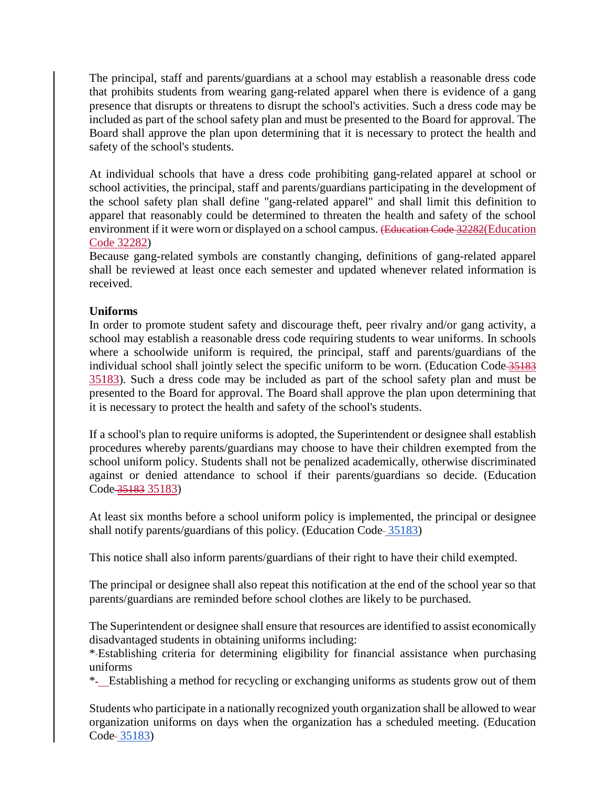The principal, staff and parents/guardians at a school may establish a reasonable dress code that prohibits students from wearing gang-related apparel when there is evidence of a gang presence that disrupts or threatens to disrupt the school's activities. Such a dress code may be included as part of the school safety plan and must be presented to the Board for approval. The Board shall approve the plan upon determining that it is necessary to protect the health and safety of the school's students.

At individual schools that have a dress code prohibiting gang-related apparel at school or school activities, the principal, staff and parents/guardians participating in the development of the school safety plan shall define "gang-related apparel" and shall limit this definition to apparel that reasonably could be determined to threaten the health and safety of the school environment if it were worn or displayed on a school campus. (Education Code 32282(Education Code [32282\)](http://www.gamutonline.net/district/alameda/displayPolicy/899639/5)

Because gang-related symbols are constantly changing, definitions of gang-related apparel shall be reviewed at least once each semester and updated whenever related information is received.

### **Uniforms**

In order to promote student safety and discourage theft, peer rivalry and/or gang activity, a school may establish a reasonable dress code requiring students to wear uniforms. In schools where a schoolwide uniform is required, the principal, staff and parents/guardians of the individual school shall jointly select the specific uniform to be worn. (Education Code 35183 [35183\)](http://www.gamutonline.net/district/alameda/displayPolicy/131417/5). Such a dress code may be included as part of the school safety plan and must be presented to the Board for approval. The Board shall approve the plan upon determining that it is necessary to protect the health and safety of the school's students.

If a school's plan to require uniforms is adopted, the Superintendent or designee shall establish procedures whereby parents/guardians may choose to have their children exempted from the school uniform policy. Students shall not be penalized academically, otherwise discriminated against or denied attendance to school if their parents/guardians so decide. (Education Code 35183 [35183\)](http://www.gamutonline.net/district/alameda/displayPolicy/131417/5)

At least six months before a school uniform policy is implemented, the principal or designee shall notify parents/guardians of this policy. (Education Code-[35183\)](http://www.gamutonline.net/district/alameda/displayPolicy/131417/5)

This notice shall also inform parents/guardians of their right to have their child exempted.

The principal or designee shall also repeat this notification at the end of the school year so that parents/guardians are reminded before school clothes are likely to be purchased.

The Superintendent or designee shall ensure that resources are identified to assist economically disadvantaged students in obtaining uniforms including:

\* Establishing criteria for determining eligibility for financial assistance when purchasing uniforms

\* Establishing a method for recycling or exchanging uniforms as students grow out of them

Students who participate in a nationally recognized youth organization shall be allowed to wear organization uniforms on days when the organization has a scheduled meeting. (Education Code-[35183\)](http://www.gamutonline.net/district/alameda/displayPolicy/131417/5)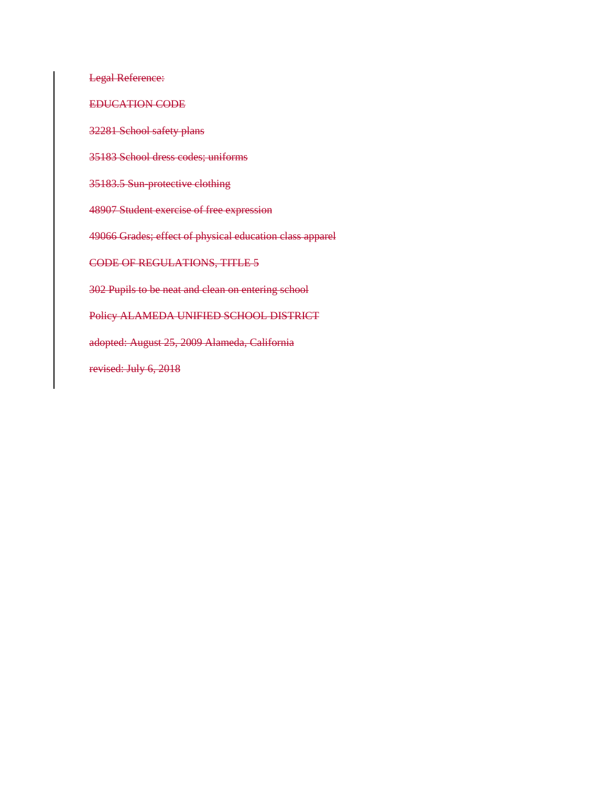Legal Reference:

EDUCATION CODE

32281 School safety plans

35183 School dress codes; uniforms

35183.5 Sun-protective clothing

48907 Student exercise of free expression

49066 Grades; effect of physical education class apparel

CODE OF REGULATIONS, TITLE 5

302 Pupils to be neat and clean on entering school

Policy ALAMEDA UNIFIED SCHOOL DISTRICT

adopted: August 25, 2009 Alameda, California

revised: July 6, 2018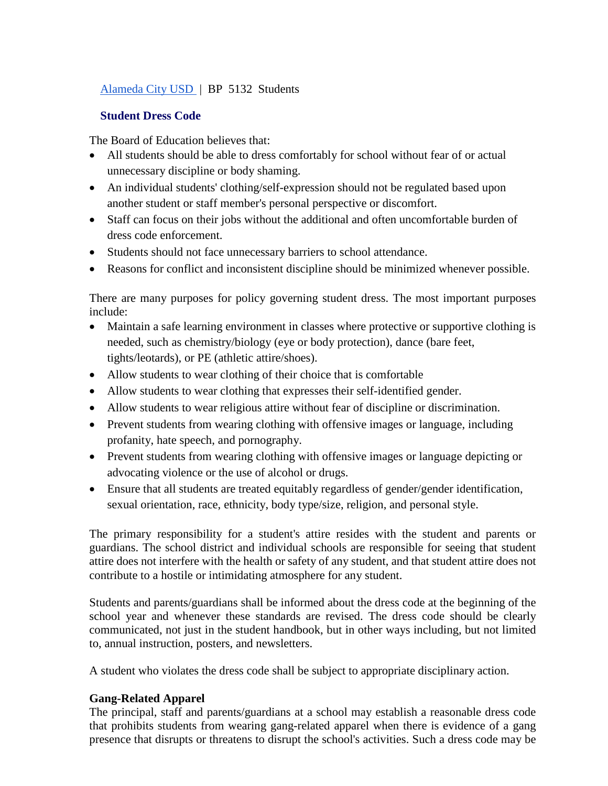### [Alameda City USD](http://www.gamutonline.net/district/alameda/) | BP 5132 Students

#### **Student Dress Code**

The Board of Education believes that:

- All students should be able to dress comfortably for school without fear of or actual unnecessary discipline or body shaming.
- An individual students' clothing/self-expression should not be regulated based upon another student or staff member's personal perspective or discomfort.
- Staff can focus on their jobs without the additional and often uncomfortable burden of dress code enforcement.
- Students should not face unnecessary barriers to school attendance.
- Reasons for conflict and inconsistent discipline should be minimized whenever possible.

There are many purposes for policy governing student dress. The most important purposes include:

- Maintain a safe learning environment in classes where protective or supportive clothing is needed, such as chemistry/biology (eye or body protection), dance (bare feet, tights/leotards), or PE (athletic attire/shoes).
- Allow students to wear clothing of their choice that is comfortable
- Allow students to wear clothing that expresses their self-identified gender.
- Allow students to wear religious attire without fear of discipline or discrimination.
- Prevent students from wearing clothing with offensive images or language, including profanity, hate speech, and pornography.
- Prevent students from wearing clothing with offensive images or language depicting or advocating violence or the use of alcohol or drugs.
- Ensure that all students are treated equitably regardless of gender/gender identification, sexual orientation, race, ethnicity, body type/size, religion, and personal style.

The primary responsibility for a student's attire resides with the student and parents or guardians. The school district and individual schools are responsible for seeing that student attire does not interfere with the health or safety of any student, and that student attire does not contribute to a hostile or intimidating atmosphere for any student.

Students and parents/guardians shall be informed about the dress code at the beginning of the school year and whenever these standards are revised. The dress code should be clearly communicated, not just in the student handbook, but in other ways including, but not limited to, annual instruction, posters, and newsletters.

A student who violates the dress code shall be subject to appropriate disciplinary action.

### **Gang-Related Apparel**

The principal, staff and parents/guardians at a school may establish a reasonable dress code that prohibits students from wearing gang-related apparel when there is evidence of a gang presence that disrupts or threatens to disrupt the school's activities. Such a dress code may be